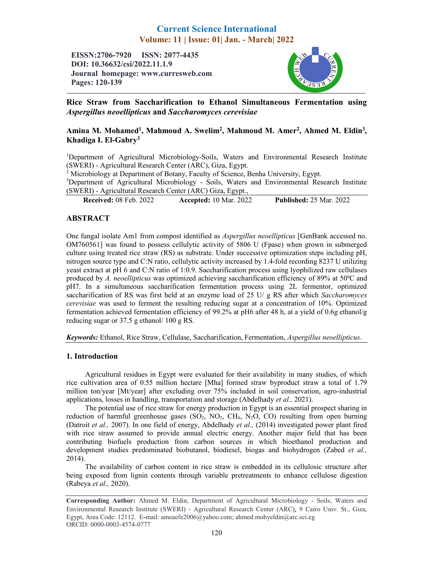# Current Science International Volume: 11 | Issue: 01| Jan. - March| 2022

EISSN:2706-7920 ISSN: 2077-4435 DOI: 10.36632/csi/2022.11.1.9 Journal homepage: www.curresweb.com Pages: 120-139



Rice Straw from Saccharification to Ethanol Simultaneous Fermentation using *Aspergillus neoellipticus* and *Saccharomyces cerevisiae*

## Amina M. Mohamed<sup>1</sup>, Mahmoud A. Swelim<sup>2</sup>, Mahmoud M. Amer<sup>2</sup>, Ahmed M. Eldin<sup>3</sup>, Khadiga I. El-Gabry3

<sup>1</sup>Department of Agricultural Microbiology-Soils, Waters and Environmental Research Institute (SWERI) - Agricultural Research Center (ARC), Giza, Egypt.

<sup>2</sup> Microbiology at Department of Botany, Faculty of Science, Benha University, Egypt.

<sup>3</sup>Department of Agricultural Microbiology - Soils, Waters and Environmental Research Institute (SWERI) - Agricultural Research Center (ARC) Giza, Egypt.,

Received: 08 Feb. 2022 Published: 25 Mar. 2022 Accepted: 10 Mar. 2022

## ABSTRACT

One fungal isolate Am1 from compost identified as *Aspergillus neoellipticus* [GenBank accessed no. OM760561] was found to possess cellulytic activity of 5806 U (Fpase) when grown in submerged culture using treated rice straw (RS) as substrate. Under successive optimization steps including pH, nitrogen source type and C:N ratio, cellulytic activity increased by 1.4-fold recording 8237 U utilizing yeast extract at pH 6 and C:N ratio of 1:0.9. Saccharification process using lyophilized raw cellulases produced by *A. neoellipticus* was optimized achieving saccharification efficiency of 89% at 50ºC and pH7. In a simultaneous saccharification fermentation process using 2L fermentor, optimized saccharification of RS was first held at an enzyme load of 25 U/ g RS after which *Saccharomyces cerevisiae* was used to ferment the resulting reducing sugar at a concentration of 10%. Optimized fermentation achieved fermentation efficiency of 99.2% at pH6 after 48 h, at a yield of 0.6g ethanol/g reducing sugar or 37.5 g ethanol/ 100 g RS.

*Keywords:* Ethanol, Rice Straw, Cellulase, Saccharification, Fermentation, *Aspergillus neoellipticus*.

## 1. Introduction

Agricultural residues in Egypt were evaluated for their availability in many studies, of which rice cultivation area of 0.55 million hectare [Mha] formed straw byproduct straw a total of 1.79 million ton/year [Mt/year] after excluding over 75% included in soil conservation, agro-industrial applications, losses in handling, transportation and storage (Abdelhady *et al.,* 2021).

The potential use of rice straw for energy production in Egypt is an essential prospect sharing in reduction of harmful greenhouse gases  $(SO_2, NO_2, CH_4, N_2O, CO)$  resulting from open burning (Datroit *et al.,* 2007). In one field of energy, Abdelhady *et al.,* (2014) investigated power plant fired with rice straw assumed to provide annual electric energy. Another major field that has been contributing biofuels production from carbon sources in which bioethanol production and development studies predominated biobutanol, biodiesel, biogas and biohydrogen (Zabed *et al.,*  2014).

The availability of carbon content in rice straw is embedded in its cellulosic structure after being exposed from lignin contents through variable pretreatments to enhance cellulose digestion (Rabeya *et al.,* 2020).

Corresponding Author: Ahmed M. Eldin, Department of Agricultural Microbiology - Soils, Waters and Environmental Research Institute (SWERI) - Agricultural Research Center (ARC), 9 Cairo Univ. St., Giza, Egypt, Area Code: 12112. E-mail: ameaefe2006@yahoo.com; ahmed.mohyeldin@arc.sci.eg ORCID: 0000-0003-4574-0777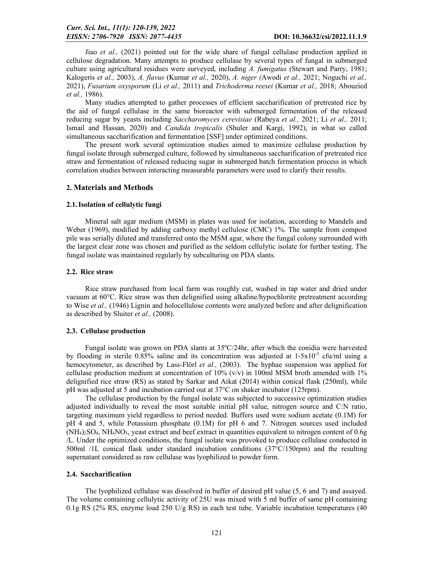Jiao *et al.,* (2021) pointed out for the wide share of fungal cellulase production applied in cellulose degradation. Many attempts to produce cellulase by several types of fungal in submerged culture using agricultural residues were surveyed, including *A. fumigatus* (Stewart and Parry, 1981; Kalogeris *et al.,* 2003), *A. flavus* (Kumar *et al.,* 2020), *A. niger (*Awodi *et al.,* 2021; Noguchi *et al.,*  2021), *Fusarium oxysporum* (Li *et al.,* 2011) and *Trichoderma reesei* (Kumar *et al.,* 2018; Abouzied *et al.,* 1986).

Many studies attempted to gather processes of efficient saccharification of pretreated rice by the aid of fungal cellulase in the same bioreactor with submerged fermentation of the released reducing sugar by yeasts including *Saccharomyces cerevisiae* (Rabeya *et al.,* 2021; Li *et al.,* 2011; Ismail and Hassan, 2020) and *Candida tropicalis* (Shuler and Kargi, 1992), in what so called simultaneous saccharification and fermentation [SSF] under optimized conditions.

The present work several optimization studies aimed to maximize cellulase production by fungal isolate through submerged culture, followed by simultaneous saccharification of pretreated rice straw and fermentation of released reducing sugar in submerged batch fermentation process in which correlation studies between interacting measurable parameters were used to clarify their results.

### 2. Materials and Methods

#### 2.1.Isolation of cellulytic fungi

Mineral salt agar medium (MSM) in plates was used for isolation, according to Mandels and Weber (1969), modified by adding carboxy methyl cellulose (CMC) 1%. The sample from compost pile was serially diluted and transferred onto the MSM agar, where the fungal colony surrounded with the largest clear zone was chosen and purified as the seldom cellulytic isolate for further testing. The fungal isolate was maintained regularly by subculturing on PDA slants.

### 2.2. Rice straw

Rice straw purchased from local farm was roughly cut, washed in tap water and dried under vacuum at 60°C. Rice straw was then delignified using alkaline/hypochlorite pretreatment according to Wise *et al.,* (1946) Lignin and holocellulose contents were analyzed before and after delignification as described by Sluiter *et al.,* (2008).

#### 2.3. Cellulase production

Fungal isolate was grown on PDA slants at 35ºC/24hr, after which the conidia were harvested by flooding in sterile 0.85% saline and its concentration was adjusted at  $1-5x10^{-5}$  cfu/ml using a hemocytometer, as described by Lass-Flörl *et al.,* (2003). The hyphae suspension was applied for cellulase production medium at concentration of  $10\%$  (v/v) in 100ml MSM broth amended with 1% delignified rice straw (RS) as stated by Sarkar and Aikat (2014) within conical flask (250ml), while pH was adjusted at 5 and incubation carried out at 37°C on shaker incubator (125rpm).

The cellulase production by the fungal isolate was subjected to successive optimization studies adjusted individually to reveal the most suitable initial pH value, nitrogen source and C:N ratio, targeting maximum yield regardless to period needed. Buffers used were sodium acetate (0.1M) for pH 4 and 5, while Potassium phosphate (0.1M) for pH 6 and 7. Nitrogen sources used included (NH4)2SO4, NH4NO3, yeast extract and beef extract in quantities equivalent to nitrogen content of 0.6g /L. Under the optimized conditions, the fungal isolate was provoked to produce cellulase conducted in 500ml /1L conical flask under standard incubation conditions (37°C/150rpm) and the resulting supernatant considered as raw cellulase was lyophilized to powder form.

#### 2.4. Saccharification

The lyophilized cellulase was dissolved in buffer of desired pH value (5, 6 and 7) and assayed. The volume containing cellulytic activity of 25U was mixed with 5 ml buffer of same pH containing 0.1g RS ( $2\%$  RS, enzyme load  $250 \text{ U/g}$  RS) in each test tube. Variable incubation temperatures (40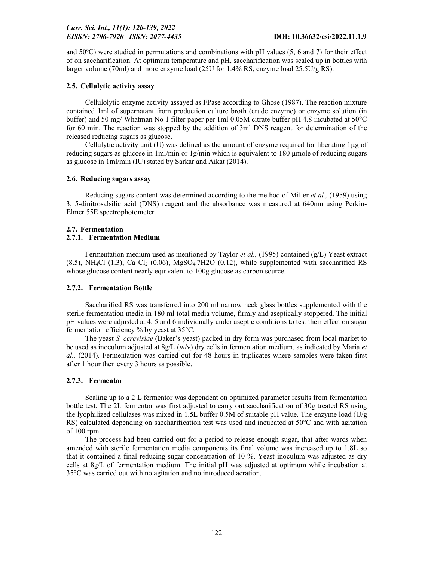and 50ºC) were studied in permutations and combinations with pH values (5, 6 and 7) for their effect of on saccharification. At optimum temperature and pH, saccharification was scaled up in bottles with larger volume (70ml) and more enzyme load (25U for 1.4% RS, enzyme load  $25.5U/g$  RS).

## 2.5. Cellulytic activity assay

Cellulolytic enzyme activity assayed as FPase according to Ghose (1987). The reaction mixture contained 1ml of supernatant from production culture broth (crude enzyme) or enzyme solution (in buffer) and 50 mg/ Whatman No 1 filter paper per 1ml 0.05M citrate buffer pH 4.8 incubated at 50°C for 60 min. The reaction was stopped by the addition of 3ml DNS reagent for determination of the released reducing sugars as glucose.

Cellulytic activity unit (U) was defined as the amount of enzyme required for liberating 1µg of reducing sugars as glucose in  $1m/min$  or  $1g/min$  which is equivalent to 180 µmole of reducing sugars as glucose in 1ml/min (IU) stated by Sarkar and Aikat (2014).

## 2.6. Reducing sugars assay

Reducing sugars content was determined according to the method of Miller *et al.,* (1959) using 3, 5-dinitrosalsilic acid (DNS) reagent and the absorbance was measured at 640nm using Perkin-Elmer 55E spectrophotometer.

## 2.7. Fermentation

## 2.7.1. Fermentation Medium

Fermentation medium used as mentioned by Taylor *et al.,* (1995) contained (g/L) Yeast extract  $(8.5)$ , NH<sub>4</sub>Cl  $(1.3)$ , Ca Cl<sub>2</sub>  $(0.06)$ , MgSO<sub>4</sub>.7H<sub>2</sub>O  $(0.12)$ , while supplemented with saccharified RS whose glucose content nearly equivalent to 100g glucose as carbon source.

## 2.7.2. Fermentation Bottle

Saccharified RS was transferred into 200 ml narrow neck glass bottles supplemented with the sterile fermentation media in 180 ml total media volume, firmly and aseptically stoppered. The initial pH values were adjusted at 4, 5 and 6 individually under aseptic conditions to test their effect on sugar fermentation efficiency % by yeast at 35°C.

The yeast *S. cerevisiae* (Baker's yeast) packed in dry form was purchased from local market to be used as inoculum adjusted at 8g/L (w/v) dry cells in fermentation medium, as indicated by Maria *et al.,* (2014). Fermentation was carried out for 48 hours in triplicates where samples were taken first after 1 hour then every 3 hours as possible.

## 2.7.3. Fermentor

Scaling up to a 2 L fermentor was dependent on optimized parameter results from fermentation bottle test. The 2L fermentor was first adjusted to carry out saccharification of 30g treated RS using the lyophilized cellulases was mixed in 1.5L buffer 0.5M of suitable pH value. The enzyme load ( $U/g$ ) RS) calculated depending on saccharification test was used and incubated at 50°C and with agitation of 100 rpm.

The process had been carried out for a period to release enough sugar, that after wards when amended with sterile fermentation media components its final volume was increased up to 1.8L so that it contained a final reducing sugar concentration of 10 %. Yeast inoculum was adjusted as dry cells at 8g/L of fermentation medium. The initial pH was adjusted at optimum while incubation at 35°C was carried out with no agitation and no introduced aeration.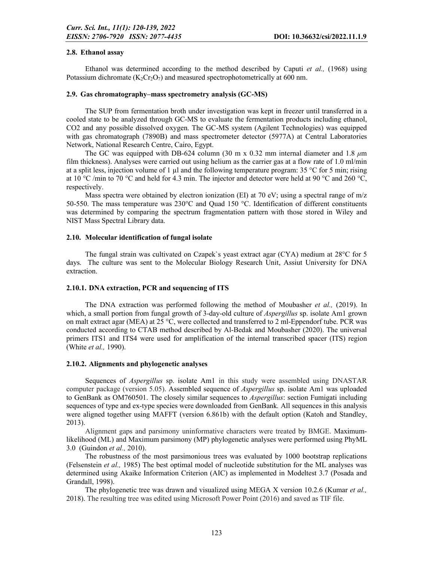### 2.8. Ethanol assay

Ethanol was determined according to the method described by Caputi *et al.,* (1968) using Potassium dichromate  $(K_2Cr_2O_7)$  and measured spectrophotometrically at 600 nm.

## 2.9. Gas chromatography–mass spectrometry analysis (GC-MS)

The SUP from fermentation broth under investigation was kept in freezer until transferred in a cooled state to be analyzed through GC-MS to evaluate the fermentation products including ethanol, CO2 and any possible dissolved oxygen. The GC-MS system (Agilent Technologies) was equipped with gas chromatograph (7890B) and mass spectrometer detector (5977A) at Central Laboratories Network, National Research Centre, Cairo, Egypt.

The GC was equipped with DB-624 column (30 m x 0.32 mm internal diameter and 1.8 *μ*m film thickness). Analyses were carried out using helium as the carrier gas at a flow rate of 1.0 ml/min at a split less, injection volume of 1 µl and the following temperature program:  $35^{\circ}$ C for 5 min; rising at 10 °C /min to 70 °C and held for 4.3 min. The injector and detector were held at 90 °C and 260 °C, respectively.

Mass spectra were obtained by electron ionization (EI) at 70 eV; using a spectral range of  $m/z$ 50-550. The mass temperature was 230°C and Quad 150 °C. Identification of different constituents was determined by comparing the spectrum fragmentation pattern with those stored in Wiley and NIST Mass Spectral Library data.

## 2.10. Molecular identification of fungal isolate

The fungal strain was cultivated on Czapek`s yeast extract agar (CYA) medium at 28°C for 5 days. The culture was sent to the Molecular Biology Research Unit, Assiut University for DNA extraction.

## 2.10.1. DNA extraction, PCR and sequencing of ITS

The DNA extraction was performed following the method of Moubasher *et al.,* (2019). In which, a small portion from fungal growth of 3-day-old culture of *Aspergillus* sp. isolate Am1 grown on malt extract agar (MEA) at 25 °C, were collected and transferred to 2 ml-Eppendorf tube. PCR was conducted according to CTAB method described by Al-Bedak and Moubasher (2020). The universal primers ITS1 and ITS4 were used for amplification of the internal transcribed spacer (ITS) region (White *et al.,* 1990).

#### 2.10.2. Alignments and phylogenetic analyses

Sequences of *Aspergillus* sp. isolate Am1 in this study were assembled using DNASTAR computer package (version 5.05). Assembled sequence of *Aspergillus* sp. isolate Am1 was uploaded to GenBank as OM760501. The closely similar sequences to *Aspergillus*: section Fumigati including sequences of type and ex-type species were downloaded from GenBank*.* All sequences in this analysis were aligned together using MAFFT (version 6.861b) with the default option (Katoh and Standley, 2013).

Alignment gaps and parsimony uninformative characters were treated by BMGE. Maximumlikelihood (ML) and Maximum parsimony (MP) phylogenetic analyses were performed using PhyML 3.0 (Guindon *et al.,* 2010).

The robustness of the most parsimonious trees was evaluated by 1000 bootstrap replications (Felsenstein *et al.,* 1985) The best optimal model of nucleotide substitution for the ML analyses was determined using Akaike Information Criterion (AIC) as implemented in Modeltest 3.7 (Posada and Grandall, 1998).

The phylogenetic tree was drawn and visualized using MEGA X version 10.2.6 (Kumar *et al.,*  2018). The resulting tree was edited using Microsoft Power Point (2016) and saved as TIF file.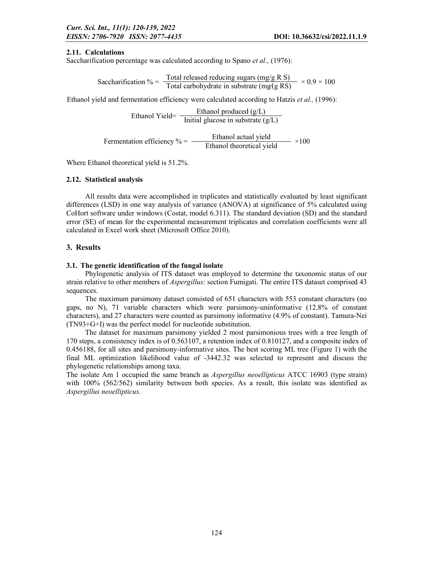## 2.11. Calculations

Saccharification percentage was calculated according to Spano *et al.,* (1976):

Saccharification 
$$
\% = \frac{\text{Total released reducing sugars (mg/g R S)}}{\text{Total carbohydrate in substrate (mg/g RS)}} \times 0.9 \times 100
$$

Ethanol yield and fermentation efficiency were calculated according to Hatzis *et al.,* (1996):

$$
Ethanol Yield = \frac{Ethanol produced (g/L)}{Initial glucose in substrate (g/L)}
$$

Fermentation efficiency  $% =$  Ethanol actual yield  $\times100$ <br>Ethanol theoretical yield

Where Ethanol theoretical yield is 51.2%.

## 2.12. Statistical analysis

All results data were accomplished in triplicates and statistically evaluated by least significant differences (LSD) in one way analysis of variance (ANOVA) at significance of 5% calculated using CoHort software under windows (Costat, model 6.311). The standard deviation (SD) and the standard error (SE) of mean for the experimental measurement triplicates and correlation coefficients were all calculated in Excel work sheet (Microsoft Office 2010).

## 3. Results

## 3.1. The genetic identification of the fungal isolate

Phylogenetic analysis of ITS dataset was employed to determine the taxonomic status of our strain relative to other members of *Aspergillus*: section Fumigati. The entire ITS dataset comprised 43 sequences.

The maximum parsimony dataset consisted of 651 characters with 553 constant characters (no gaps, no N), 71 variable characters which were parsimony-uninformative (12.8% of constant characters), and 27 characters were counted as parsimony informative (4.9% of constant). Tamura-Nei (TN93+G+I) was the perfect model for nucleotide substitution.

The dataset for maximum parsimony yielded 2 most parsimonious trees with a tree length of 170 steps, a consistency index is of 0.563107, a retention index of 0.810127, and a composite index of 0.456188, for all sites and parsimony-informative sites. The best scoring ML tree (Figure 1) with the final ML optimization likelihood value of -3442.32 was selected to represent and discuss the phylogenetic relationships among taxa.

The isolate Am 1 occupied the same branch as *Aspergillus neoellipticus* ATCC 16903 (type strain) with 100% (562/562) similarity between both species. As a result, this isolate was identified as *Aspergillus neoellipticus.*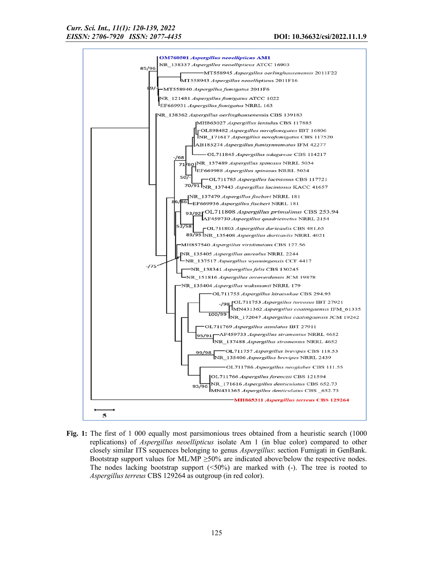

Fig. 1: The first of 1 000 equally most parsimonious trees obtained from a heuristic search (1000) replications) of *Aspergillus neoellipticus* isolate Am 1 (in blue color) compared to other closely similar ITS sequences belonging to genus *Aspergillus*: section Fumigati in GenBank. Bootstrap support values for ML/MP  $\geq$ 50% are indicated above/below the respective nodes. The nodes lacking bootstrap support (<50%) are marked with (-). The tree is rooted to *Aspergillus terreus* CBS 129264 as outgroup (in red color).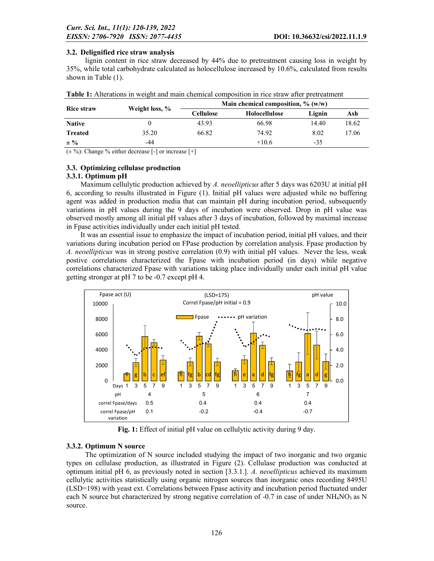## 3.2. Delignified rice straw analysis

lignin content in rice straw decreased by 44% due to pretreatment causing loss in weight by 35%, while total carbohydrate calculated as holocellulose increased by 10.6%, calculated from results shown in Table (1).

|                   |                | Main chemical composition, $\%$ (w/w) |               |        |       |  |  |  |
|-------------------|----------------|---------------------------------------|---------------|--------|-------|--|--|--|
| <b>Rice straw</b> | Weight loss, % | Cellulose                             | Holocellulose | Lignin | Ash   |  |  |  |
| <b>Native</b>     |                | 43.93                                 | 66.98         | 14.40  | 18.62 |  |  |  |
| <b>Treated</b>    | 35.20          | 66.82                                 | 74.92         | 8.02   | 17.06 |  |  |  |
| $\pm \frac{0}{2}$ | -44            |                                       | $+10.6$       | $-35$  |       |  |  |  |

| <b>Table 1:</b> Alterations in weight and main chemical composition in rice straw after pretreatment |  |  |  |
|------------------------------------------------------------------------------------------------------|--|--|--|
|                                                                                                      |  |  |  |

 $(\pm \frac{9}{6})$ : Change % either decrease [-] or increase [+]

## 3.3. Optimizing cellulase production

## 3.3.1. Optimum pH

Maximum cellulytic production achieved by *A. neoellipticus* after 5 days was 6203U at initial pH 6, according to results illustrated in Figure (1). Initial pH values were adjusted while no buffering agent was added in production media that can maintain pH during incubation period, subsequently variations in pH values during the 9 days of incubation were observed. Drop in pH value was observed mostly among all initial pH values after 3 days of incubation, followed by maximal increase in Fpase activities individually under each initial pH tested.

It was an essential issue to emphasize the impact of incubation period, initial pH values, and their variations during incubation period on FPase production by correlation analysis. Fpase production by *A. neoellipticus* was in strong postive correlation (0.9) with initial pH values. Never the less, weak postive correlations characterized the Fpase with incubation period (in days) while negative correlations characterized Fpase with variations taking place individually under each initial pH value getting stronger at pH 7 to be -0.7 except pH 4.



Fig. 1: Effect of initial pH value on cellulytic activity during 9 day.

## 3.3.2. Optimum N source

The optimization of N source included studying the impact of two inorganic and two organic types on cellulase production, as illustrated in Figure (2). Cellulase production was conducted at optimum initial pH 6, as previously noted in section [3.3.1.]. *A. neoellipticus* achieved its maximum cellulytic activities statistically using organic nitrogen sources than inorganic ones recording 8495U (LSD=198) with yeast ext. Correlations between Fpase activity and incubation period fluctuated under each N source but characterized by strong negative correlation of -0.7 in case of under  $NH<sub>4</sub>NO<sub>3</sub>$  as N source.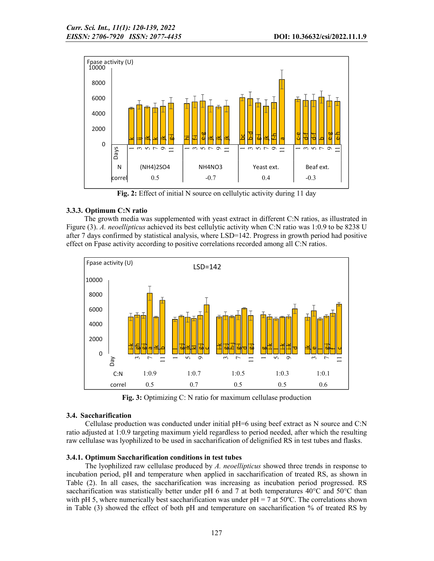

Fig. 2: Effect of initial N source on cellulytic activity during 11 day

## 3.3.3. Optimum C:N ratio

The growth media was supplemented with yeast extract in different C:N ratios, as illustrated in Figure (3). *A. neoellipticus* achieved its best cellulytic activity when C:N ratio was 1:0.9 to be 8238 U after 7 days confirmed by statistical analysis, where LSD=142. Progress in growth period had positive effect on Fpase activity according to positive correlations recorded among all C:N ratios.



Fig. 3: Optimizing C: N ratio for maximum cellulase production

## 3.4. Saccharification

Cellulase production was conducted under initial pH=6 using beef extract as N source and C:N ratio adjusted at 1:0.9 targeting maximum yield regardless to period needed, after which the resulting raw cellulase was lyophilized to be used in saccharification of delignified RS in test tubes and flasks.

## 3.4.1. Optimum Saccharification conditions in test tubes

The lyophilized raw cellulase produced by *A. neoellipticus* showed three trends in response to incubation period, pH and temperature when applied in saccharification of treated RS, as shown in Table (2). In all cases, the saccharification was increasing as incubation period progressed. RS saccharification was statistically better under pH 6 and 7 at both temperatures 40°C and 50°C than with pH 5, where numerically best saccharification was under  $pH = 7$  at 50 $^{\circ}$ C. The correlations shown in Table (3) showed the effect of both pH and temperature on saccharification % of treated RS by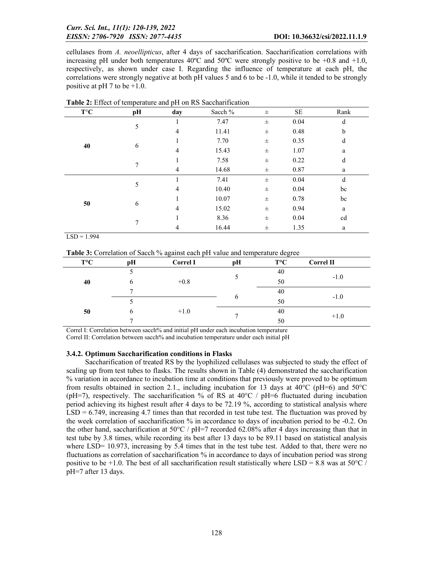cellulases from *A. neoellipticus*, after 4 days of saccharification. Saccharification correlations with increasing pH under both temperatures  $40^{\circ}$ C and  $50^{\circ}$ C were strongly positive to be +0.8 and +1.0, respectively, as shown under case I. Regarding the influence of temperature at each pH, the correlations were strongly negative at both pH values 5 and 6 to be -1.0, while it tended to be strongly positive at pH 7 to be  $+1.0$ .

| $\mathbf{T}^\circ\mathbf{C}$ | pH | day | Sacch % | $\pm$    | $\rm SE$  | Rank        |
|------------------------------|----|-----|---------|----------|-----------|-------------|
|                              | 5  |     | 7.47    | $\pm$    | 0.04      | d           |
|                              |    | 4   | 11.41   | $\pm$    | 0.48      | $\mathbf b$ |
| 40                           |    |     | 7.70    | $_{\pm}$ | 0.35      | d           |
|                              | 6  | 4   | 15.43   | $\pm$    | 1.07<br>a |             |
|                              | 7  |     | 7.58    | $\pm$    | 0.22      | d           |
|                              |    | 4   | 14.68   | $\pm$    | 0.87      | a           |
| 50                           | 5  |     | 7.41    | $\pm$    | 0.04      | d           |
|                              |    | 4   | 10.40   | $\pm$    | 0.04      | bc          |
|                              | 6  |     | 10.07   | $\pm$    | 0.78      | bc          |
|                              |    | 4   | 15.02   | $\pm$    | 0.94      | a           |
|                              |    |     | 8.36    | $\pm$    | 0.04      | cd          |
|                              |    | 4   | 16.44   | $_{\pm}$ | 1.35      | a           |

Table 2: Effect of temperature and pH on RS Saccharification

 $LSD = 1.994$ 

Table 3: Correlation of Sacch % against each pH value and temperature degree

| $T^{\circ}C$ | pН | <b>Correl I</b> | pH       | $T^{\circ}C$ | <b>Correl II</b> |
|--------------|----|-----------------|----------|--------------|------------------|
| 40<br>50     |    |                 |          | 40           | $-1.0$           |
|              | b  | $+0.8$          |          | 50           |                  |
|              |    |                 | $\sigma$ | 40           | $-1.0$           |
|              |    |                 |          | 50           |                  |
|              | b  | $+1.0$          |          | 40           | $+1.0$           |
|              | −  |                 |          | 50           |                  |

Correl I: Correlation between sacch% and initial pH under each incubation temperature

Correl II: Correlation between sacch% and incubation temperature under each initial pH

### 3.4.2. Optimum Saccharification conditions in Flasks

Saccharification of treated RS by the lyophilized cellulases was subjected to study the effect of scaling up from test tubes to flasks. The results shown in Table (4) demonstrated the saccharification % variation in accordance to incubation time at conditions that previously were proved to be optimum from results obtained in section 2.1., including incubation for 13 days at 40 $\degree$ C (pH=6) and 50 $\degree$ C (pH=7), respectively. The saccharification % of RS at  $40^{\circ}$ C / pH=6 fluctuated during incubation period achieving its highest result after 4 days to be 72.19 %, according to statistical analysis where LSD = 6.749, increasing 4.7 times than that recorded in test tube test. The fluctuation was proved by the week correlation of saccharification % in accordance to days of incubation period to be -0.2. On the other hand, saccharification at  $50^{\circ}$ C / pH=7 recorded 62.08% after 4 days increasing than that in test tube by 3.8 times, while recording its best after 13 days to be 89.11 based on statistical analysis where LSD= 10.973, increasing by 5.4 times that in the test tube test. Added to that, there were no fluctuations as correlation of saccharification % in accordance to days of incubation period was strong positive to be +1.0. The best of all saccharification result statistically where LSD = 8.8 was at 50 $\degree$ C / pH=7 after 13 days.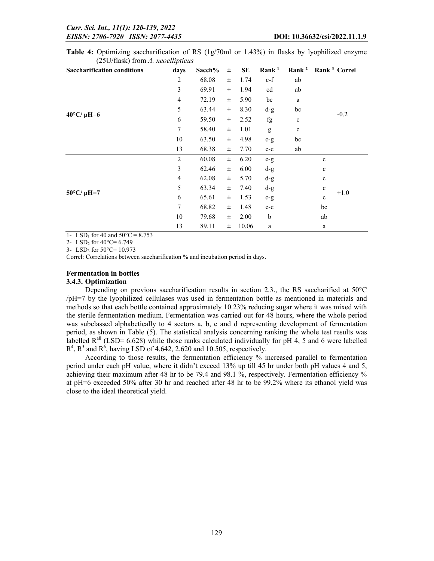| <b>Saccharification conditions</b> | days                                           | Sacch% | $\pm$    | <b>SE</b> | Rank <sup>1</sup>                                                                                                                                                                                                                                                                                                                                                                                                              | Rank <sup>2</sup> | Rank <sup>3</sup> Correl |
|------------------------------------|------------------------------------------------|--------|----------|-----------|--------------------------------------------------------------------------------------------------------------------------------------------------------------------------------------------------------------------------------------------------------------------------------------------------------------------------------------------------------------------------------------------------------------------------------|-------------------|--------------------------|
|                                    | $\overline{2}$                                 | 68.08  | $_{\pm}$ | 1.74      | $c-f$                                                                                                                                                                                                                                                                                                                                                                                                                          | ab                |                          |
|                                    | 3                                              | 69.91  | $\pm$    | 1.94      | cd                                                                                                                                                                                                                                                                                                                                                                                                                             | ab                |                          |
|                                    | $\overline{\mathcal{A}}$                       | 72.19  | $_{\pm}$ | 5.90      | bc                                                                                                                                                                                                                                                                                                                                                                                                                             | a                 |                          |
|                                    | 5                                              | 63.44  | $_{\pm}$ | 8.30      | $d-g$                                                                                                                                                                                                                                                                                                                                                                                                                          | bc                |                          |
| $40^{\circ}$ C/ pH=6               | 6                                              | 59.50  | $_{\pm}$ | 2.52      | fg                                                                                                                                                                                                                                                                                                                                                                                                                             | $\mathbf c$       | $-0.2$                   |
|                                    | 7                                              | 58.40  | $\pm$    | 1.01      | $\mathbf{g}% _{T}=\mathbf{g}_{T}=\mathbf{g}_{T}=\mathbf{g}_{T}=\mathbf{g}_{T}=\mathbf{g}_{T}=\mathbf{g}_{T}=\mathbf{g}_{T}=\mathbf{g}_{T}=\mathbf{g}_{T}=\mathbf{g}_{T}=\mathbf{g}_{T}=\mathbf{g}_{T}=\mathbf{g}_{T}=\mathbf{g}_{T}=\mathbf{g}_{T}=\mathbf{g}_{T}=\mathbf{g}_{T}=\mathbf{g}_{T}=\mathbf{g}_{T}=\mathbf{g}_{T}=\mathbf{g}_{T}=\mathbf{g}_{T}=\mathbf{g}_{T}=\mathbf{g}_{T}=\mathbf{g}_{T}=\mathbf{g}_{T}=\math$ | $\mathbf c$       |                          |
|                                    | 10                                             | 63.50  | $\pm$    | 4.98      | $c-g$                                                                                                                                                                                                                                                                                                                                                                                                                          | bc                |                          |
|                                    | 13                                             | 68.38  | $_{\pm}$ | 7.70      | $c-e$                                                                                                                                                                                                                                                                                                                                                                                                                          | ab                |                          |
|                                    | 2                                              | 60.08  | $_{\pm}$ | 6.20      | $e-g$                                                                                                                                                                                                                                                                                                                                                                                                                          |                   | $\mathbf c$              |
|                                    | 3                                              | 62.46  | $_{\pm}$ | 6.00      | $d-g$                                                                                                                                                                                                                                                                                                                                                                                                                          |                   | $\mathbf c$              |
|                                    | 4                                              | 62.08  | $_{\pm}$ | 5.70      | $d-g$                                                                                                                                                                                                                                                                                                                                                                                                                          |                   | $\mathbf c$              |
| $50^{\circ}$ C/ pH=7               | 5                                              | 63.34  | $\pm$    | 7.40      | $d-g$                                                                                                                                                                                                                                                                                                                                                                                                                          |                   | $\mathbf c$<br>$+1.0$    |
|                                    | 6                                              | 65.61  | $_{\pm}$ | 1.53      | $c-g$                                                                                                                                                                                                                                                                                                                                                                                                                          |                   | $\mathbf c$              |
|                                    | 7                                              | 68.82  | $_{\pm}$ | 1.48      | $c-e$                                                                                                                                                                                                                                                                                                                                                                                                                          |                   | bc                       |
|                                    | 10<br>79.68<br>2.00<br>$\mathbf b$<br>$_{\pm}$ |        | ab       |           |                                                                                                                                                                                                                                                                                                                                                                                                                                |                   |                          |
|                                    | 13                                             | 89.11  | $_{\pm}$ | 10.06     | $\rm{a}$                                                                                                                                                                                                                                                                                                                                                                                                                       |                   | $\rm{a}$                 |

Table 4: Optimizing saccharification of RS (1g/70ml or 1.43%) in flasks by lyophilized enzyme (25U/flask) from *A. neoellipticus*

1- LSD<sub>1</sub> for 40 and  $50^{\circ}$ C = 8.753

2- LSD<sub>2</sub> for  $40^{\circ}$ C= 6.749

3- LSD3 for 50°C= 10.973

Correl: Correlations between saccharification % and incubation period in days.

## Fermentation in bottles

#### 3.4.3. Optimization

Depending on previous saccharification results in section 2.3., the RS saccharified at  $50^{\circ}$ C /pH=7 by the lyophilized cellulases was used in fermentation bottle as mentioned in materials and methods so that each bottle contained approximately 10.23% reducing sugar where it was mixed with the sterile fermentation medium. Fermentation was carried out for 48 hours, where the whole period was subclassed alphabetically to 4 sectors a, b, c and d representing development of fermentation period, as shown in Table (5). The statistical analysis concerning ranking the whole test results was labelled  $R<sup>all</sup>$  (LSD= 6.628) while those ranks calculated individually for pH 4, 5 and 6 were labelled  $R^4$ ,  $R^5$  and  $R^6$ , having LSD of 4.642, 2.620 and 10.505, respectively.

According to those results, the fermentation efficiency % increased parallel to fermentation period under each pH value, where it didn't exceed 13% up till 45 hr under both pH values 4 and 5, achieving their maximum after 48 hr to be 79.4 and 98.1 %, respectively. Fermentation efficiency % at pH=6 exceeded 50% after 30 hr and reached after 48 hr to be 99.2% where its ethanol yield was close to the ideal theoretical yield.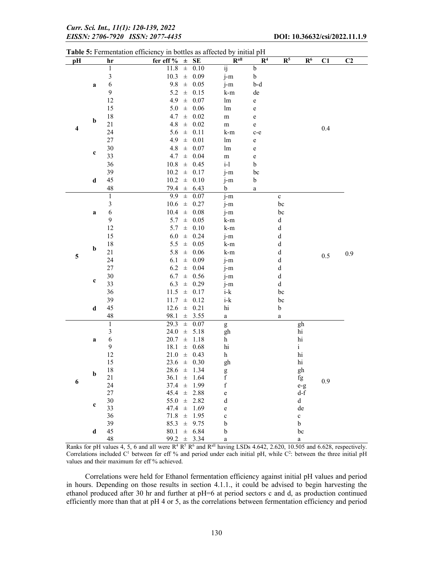|                  |                |                              |                       |                |                 | Table 5: Fermentation efficiency in bottles as affected by initial pH                                                                                                                                                                                                                                                                                                                                                          |                |                |                |         |                |  |  |  |
|------------------|----------------|------------------------------|-----------------------|----------------|-----------------|--------------------------------------------------------------------------------------------------------------------------------------------------------------------------------------------------------------------------------------------------------------------------------------------------------------------------------------------------------------------------------------------------------------------------------|----------------|----------------|----------------|---------|----------------|--|--|--|
| pH               |                | hr                           | fer eff $\%$ $\pm$ SE |                |                 | $R^{all}$                                                                                                                                                                                                                                                                                                                                                                                                                      | $\mathbb{R}^4$ | $\mathbb{R}^5$ | $\mathbf{R}^6$ | C1      | C <sub>2</sub> |  |  |  |
|                  |                | $\mathbf{1}$                 | 11.8                  | $\pm$          | 0.10            | $\dddot{ij}$                                                                                                                                                                                                                                                                                                                                                                                                                   | $\mathbf b$    |                |                |         |                |  |  |  |
|                  |                | $\mathfrak{Z}$               | 10.3                  |                | $\pm$ 0.09      | j-m                                                                                                                                                                                                                                                                                                                                                                                                                            | b              |                |                |         |                |  |  |  |
|                  | a              | 6                            | 9.8                   | $\pm$          | 0.05            | j-m                                                                                                                                                                                                                                                                                                                                                                                                                            | b-d            |                |                |         |                |  |  |  |
|                  |                | 9                            | 5.2                   | $\pm$          | 0.15            | k-m                                                                                                                                                                                                                                                                                                                                                                                                                            | de             |                |                |         |                |  |  |  |
|                  |                | 12                           | 4.9                   | $\pm$          | 0.07            | lm                                                                                                                                                                                                                                                                                                                                                                                                                             | e              |                |                |         |                |  |  |  |
| $\mathbf b$      |                | 15                           | 5.0                   |                | $\pm$ 0.06      | lm                                                                                                                                                                                                                                                                                                                                                                                                                             | e              |                |                |         |                |  |  |  |
|                  |                | 18                           | 4.7                   | $\pm$          | 0.02            | ${\rm m}$                                                                                                                                                                                                                                                                                                                                                                                                                      | $\mathbf e$    |                |                |         |                |  |  |  |
| $\boldsymbol{4}$ |                | 21                           | 4.8                   | $\pm$          | 0.02            | ${\rm m}$                                                                                                                                                                                                                                                                                                                                                                                                                      | e              |                |                | 0.4     |                |  |  |  |
|                  |                | 24                           | 5.6                   | $\pm$          | 0.11            | k-m                                                                                                                                                                                                                                                                                                                                                                                                                            | c-e            |                |                |         |                |  |  |  |
|                  |                | 27                           | 4.9                   | $\pm$          | 0.01            | lm                                                                                                                                                                                                                                                                                                                                                                                                                             | $\mathbf e$    |                |                |         |                |  |  |  |
|                  | c              | $30\,$                       | 4.8                   | $_{\pm}$       | 0.07            | lm                                                                                                                                                                                                                                                                                                                                                                                                                             | $\mathbf e$    |                |                |         |                |  |  |  |
|                  |                | 33                           | 4.7                   | $\pm$          | 0.04            | ${\bf m}$                                                                                                                                                                                                                                                                                                                                                                                                                      | e              |                |                |         |                |  |  |  |
|                  |                | 36                           | $10.8\,$              |                | $\pm$ 0.45      | $i-1$                                                                                                                                                                                                                                                                                                                                                                                                                          | $\mathbf b$    |                |                |         |                |  |  |  |
|                  |                | 39                           |                       |                | $10.2 \pm 0.17$ | j-m                                                                                                                                                                                                                                                                                                                                                                                                                            | bc             |                |                |         |                |  |  |  |
|                  | $\mathbf d$    | 45                           | 10.2                  |                | $\pm$ 0.10      | j-m                                                                                                                                                                                                                                                                                                                                                                                                                            | b              |                |                |         |                |  |  |  |
|                  |                | 48                           | 79.4 $\pm$ 6.43       |                |                 | $\mathbf b$                                                                                                                                                                                                                                                                                                                                                                                                                    | a              |                |                |         |                |  |  |  |
|                  |                | $\mathbf{1}$                 | 9.9                   | $\pm$          | 0.07            | j-m                                                                                                                                                                                                                                                                                                                                                                                                                            |                | $\mathbf c$    |                |         |                |  |  |  |
|                  | $\mathfrak{Z}$ | 10.6                         |                       | $\pm$ 0.27     | j-m             |                                                                                                                                                                                                                                                                                                                                                                                                                                | bc             |                |                |         |                |  |  |  |
|                  | a              | 6                            | 10.4                  | $\pm$          | $0.08\,$        | j-m                                                                                                                                                                                                                                                                                                                                                                                                                            |                | bc             |                |         |                |  |  |  |
|                  |                | 9                            | 5.7                   | $\pm$          | 0.05            | k-m                                                                                                                                                                                                                                                                                                                                                                                                                            |                | $\rm d$        |                |         |                |  |  |  |
|                  |                | 12                           | 5.7                   |                | $\pm$ 0.10      | k-m                                                                                                                                                                                                                                                                                                                                                                                                                            |                | $\rm d$        |                | $0.5\,$ |                |  |  |  |
|                  |                | 15                           | 6.0                   |                | $\pm$ 0.24      | j-m                                                                                                                                                                                                                                                                                                                                                                                                                            |                | ${\rm d}$      |                |         |                |  |  |  |
|                  | $\mathbf b$    | 18                           | 5.5                   |                | $\pm$ 0.05      | k-m                                                                                                                                                                                                                                                                                                                                                                                                                            |                | $\rm d$        |                |         |                |  |  |  |
| 5                |                | 21                           | 5.8                   |                | $\pm$ 0.06      | k-m                                                                                                                                                                                                                                                                                                                                                                                                                            |                | $\rm d$        |                |         | 0.9            |  |  |  |
|                  |                | 24                           | 6.1                   | $\pm$          | 0.09            | j-m                                                                                                                                                                                                                                                                                                                                                                                                                            |                | $\rm d$        |                |         |                |  |  |  |
|                  |                | 27                           | 6.2                   | $\pm$          | 0.04            | j-m                                                                                                                                                                                                                                                                                                                                                                                                                            |                | $\mathbf d$    |                |         |                |  |  |  |
|                  | $\mathbf c$    | 30                           | 6.7                   |                | $\pm$ 0.56      | $j-m$                                                                                                                                                                                                                                                                                                                                                                                                                          |                | $\rm d$        |                |         |                |  |  |  |
|                  |                | 33                           | 6.3                   | $\pm$          | 0.29            | j-m                                                                                                                                                                                                                                                                                                                                                                                                                            |                | d              |                |         |                |  |  |  |
|                  |                | 36                           | 11.5                  | $\pm$          | 0.17            | $i-k$                                                                                                                                                                                                                                                                                                                                                                                                                          |                | bc             |                |         |                |  |  |  |
|                  |                | 39                           | 11.7                  |                | $\pm$ 0.12      | $i-k$                                                                                                                                                                                                                                                                                                                                                                                                                          |                | bc             |                |         |                |  |  |  |
|                  | $\mathbf d$    | 45                           | 12.6                  |                | $\pm$ 0.21      | $\hbox{hi}$                                                                                                                                                                                                                                                                                                                                                                                                                    |                | $\mathbf b$    |                |         |                |  |  |  |
|                  |                | 48                           | 98.1                  |                | $\pm$ 3.55      | $\rm{a}$                                                                                                                                                                                                                                                                                                                                                                                                                       |                | a              |                |         |                |  |  |  |
|                  |                | $\mathbf{1}$                 | 29.3                  | $\pm$          | 0.07            | $\mathbf{g}% _{T}=\mathbf{g}_{T}=\mathbf{g}_{T}=\mathbf{g}_{T}=\mathbf{g}_{T}=\mathbf{g}_{T}=\mathbf{g}_{T}=\mathbf{g}_{T}=\mathbf{g}_{T}=\mathbf{g}_{T}=\mathbf{g}_{T}=\mathbf{g}_{T}=\mathbf{g}_{T}=\mathbf{g}_{T}=\mathbf{g}_{T}=\mathbf{g}_{T}=\mathbf{g}_{T}=\mathbf{g}_{T}=\mathbf{g}_{T}=\mathbf{g}_{T}=\mathbf{g}_{T}=\mathbf{g}_{T}=\mathbf{g}_{T}=\mathbf{g}_{T}=\mathbf{g}_{T}=\mathbf{g}_{T}=\mathbf{g}_{T}=\math$ |                |                | gh             |         |                |  |  |  |
|                  |                | $\mathfrak{Z}$<br>$\sqrt{6}$ | 24.0<br>20.7          | $\pm$<br>$\pm$ | 5.18<br>1.18    | gh<br>$\boldsymbol{\mathrm{h}}$                                                                                                                                                                                                                                                                                                                                                                                                |                |                | hi<br>hi       |         |                |  |  |  |
|                  | a              | 9                            | 18.1                  | $_{\pm}$       | 0.68            | $\hbox{hi}$                                                                                                                                                                                                                                                                                                                                                                                                                    |                |                | $\mathbf{i}$   |         |                |  |  |  |
|                  |                | 12                           | 21.0                  |                | $\pm$ 0.43      | $\boldsymbol{\mathrm{h}}$                                                                                                                                                                                                                                                                                                                                                                                                      |                |                | hi             |         |                |  |  |  |
|                  |                | 15                           | 23.6                  |                | $\pm$ 0.30      | gh                                                                                                                                                                                                                                                                                                                                                                                                                             |                |                | hi             |         |                |  |  |  |
|                  |                | 18                           | $28.6 \pm 1.34$       |                |                 | $\mathbf{g}% _{T}=\mathbf{g}_{T}=\mathbf{g}_{T}=\mathbf{g}_{T}=\mathbf{g}_{T}=\mathbf{g}_{T}=\mathbf{g}_{T}=\mathbf{g}_{T}=\mathbf{g}_{T}=\mathbf{g}_{T}=\mathbf{g}_{T}=\mathbf{g}_{T}=\mathbf{g}_{T}=\mathbf{g}_{T}=\mathbf{g}_{T}=\mathbf{g}_{T}=\mathbf{g}_{T}=\mathbf{g}_{T}=\mathbf{g}_{T}=\mathbf{g}_{T}=\mathbf{g}_{T}=\mathbf{g}_{T}=\mathbf{g}_{T}=\mathbf{g}_{T}=\mathbf{g}_{T}=\mathbf{g}_{T}=\mathbf{g}_{T}=\math$ |                |                | gh             |         |                |  |  |  |
|                  | $\mathbf b$    | 21                           | 36.1                  |                | $\pm$ 1.64      | $\mathbf f$                                                                                                                                                                                                                                                                                                                                                                                                                    |                |                | fg             |         |                |  |  |  |
| 6                |                | 24                           | 37.4                  |                | $\pm$ 1.99      | $\mathbf f$                                                                                                                                                                                                                                                                                                                                                                                                                    |                |                | $e-g$          | 0.9     |                |  |  |  |
|                  |                | $27\,$                       | $45.4 \pm 2.88$       |                |                 | $\mathbf{e}$                                                                                                                                                                                                                                                                                                                                                                                                                   |                |                | d-f            |         |                |  |  |  |
|                  |                | $30\,$                       | 55.0                  |                | $\pm$ 2.82      | $\rm d$                                                                                                                                                                                                                                                                                                                                                                                                                        |                |                | $\mathbf d$    |         |                |  |  |  |
|                  | $\mathbf c$    | 33                           | 47.4                  |                | $\pm$ 1.69      | e                                                                                                                                                                                                                                                                                                                                                                                                                              |                |                | de             |         |                |  |  |  |
|                  |                | 36                           | 71.8                  |                | $\pm$ 1.95      | $\mathbf c$                                                                                                                                                                                                                                                                                                                                                                                                                    |                |                | $\mathbf c$    |         |                |  |  |  |
|                  |                | 39                           | 85.3                  |                | $\pm$ 9.75      | $\mathbf b$                                                                                                                                                                                                                                                                                                                                                                                                                    |                |                | $\rm b$        |         |                |  |  |  |
|                  | $\mathbf d$    | 45                           | 80.1                  |                | $\pm$ 6.84      | $\mathbf b$                                                                                                                                                                                                                                                                                                                                                                                                                    |                |                | bc             |         |                |  |  |  |
|                  |                | 48                           | 99.2 $\pm$ 3.34       |                |                 | $\rm{a}$                                                                                                                                                                                                                                                                                                                                                                                                                       |                |                | $\rm{a}$       |         |                |  |  |  |

Ranks for pH values 4, 5, 6 and all were  $R^4 R^5 R^6$  and  $R^{\text{all}}$  having LSDs 4.642, 2.620, 10.505 and 6.628, respectively. Correlations included  $C<sup>1</sup>$  between fer eff % and period under each initial pH, while  $C<sup>2</sup>$ : between the three initial pH values and their maximum fer eff % achieved.

Correlations were held for Ethanol fermentation efficiency against initial pH values and period in hours. Depending on those results in section 4.1.1., it could be advised to begin harvesting the ethanol produced after 30 hr and further at pH=6 at period sectors c and d, as production continued efficiently more than that at pH 4 or 5, as the correlations between fermentation efficiency and period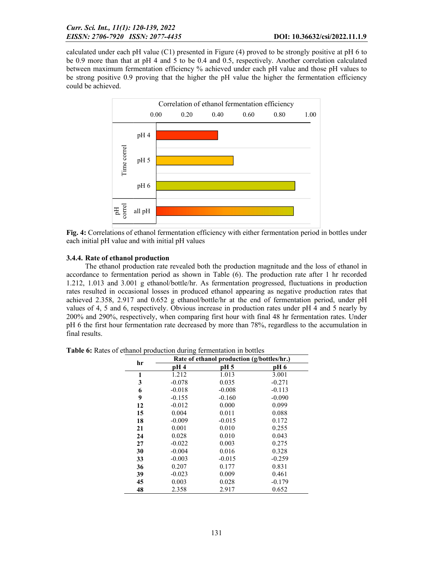calculated under each pH value (C1) presented in Figure (4) proved to be strongly positive at pH 6 to be 0.9 more than that at pH 4 and 5 to be 0.4 and 0.5, respectively. Another correlation calculated between maximum fermentation efficiency % achieved under each pH value and those pH values to be strong positive 0.9 proving that the higher the pH value the higher the fermentation efficiency could be achieved.



Fig. 4: Correlations of ethanol fermentation efficiency with either fermentation period in bottles under each initial pH value and with initial pH values

## 3.4.4. Rate of ethanol production

The ethanol production rate revealed both the production magnitude and the loss of ethanol in accordance to fermentation period as shown in Table (6). The production rate after 1 hr recorded 1.212, 1.013 and 3.001 g ethanol/bottle/hr. As fermentation progressed, fluctuations in production rates resulted in occasional losses in produced ethanol appearing as negative production rates that achieved 2.358, 2.917 and 0.652 g ethanol/bottle/hr at the end of fermentation period, under pH values of 4, 5 and 6, respectively. Obvious increase in production rates under pH 4 and 5 nearly by 200% and 290%, respectively, when comparing first hour with final 48 hr fermentation rates. Under pH 6 the first hour fermentation rate decreased by more than 78%, regardless to the accumulation in final results.

Table 6: Rates of ethanol production during fermentation in bottles

| hr | Rate of ethanol production (g/bottles/hr.) |          |          |  |  |  |  |  |  |
|----|--------------------------------------------|----------|----------|--|--|--|--|--|--|
|    | pH 4                                       | pH 5     | pH 6     |  |  |  |  |  |  |
| 1  | 1.212                                      | 1.013    | 3.001    |  |  |  |  |  |  |
| 3  | $-0.078$                                   | 0.035    | $-0.271$ |  |  |  |  |  |  |
| 6  | $-0.018$                                   | $-0.008$ | $-0.113$ |  |  |  |  |  |  |
| 9  | $-0.155$                                   | $-0.160$ | $-0.090$ |  |  |  |  |  |  |
| 12 | $-0.012$                                   | 0.000    | 0.099    |  |  |  |  |  |  |
| 15 | 0.004                                      | 0.011    | 0.088    |  |  |  |  |  |  |
| 18 | $-0.009$                                   | $-0.015$ | 0.172    |  |  |  |  |  |  |
| 21 | 0.001                                      | 0.010    | 0.255    |  |  |  |  |  |  |
| 24 | 0.028                                      | 0.010    | 0.043    |  |  |  |  |  |  |
| 27 | $-0.022$                                   | 0.003    | 0.275    |  |  |  |  |  |  |
| 30 | $-0.004$                                   | 0.016    | 0.328    |  |  |  |  |  |  |
| 33 | $-0.003$                                   | $-0.015$ | $-0.259$ |  |  |  |  |  |  |
| 36 | 0.207                                      | 0.177    | 0.831    |  |  |  |  |  |  |
| 39 | $-0.023$                                   | 0.009    | 0.461    |  |  |  |  |  |  |
| 45 | 0.003                                      | 0.028    | $-0.179$ |  |  |  |  |  |  |
| 48 | 2.358                                      | 2.917    | 0.652    |  |  |  |  |  |  |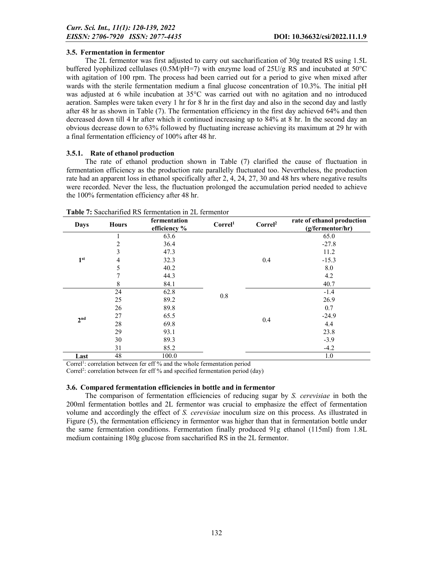## 3.5. Fermentation in fermentor

The 2L fermentor was first adjusted to carry out saccharification of 30g treated RS using 1.5L buffered lyophilized cellulases (0.5M/pH=7) with enzyme load of  $25U/g$  RS and incubated at  $50^{\circ}$ C with agitation of 100 rpm. The process had been carried out for a period to give when mixed after wards with the sterile fermentation medium a final glucose concentration of 10.3%. The initial pH was adjusted at 6 while incubation at 35°C was carried out with no agitation and no introduced aeration. Samples were taken every 1 hr for 8 hr in the first day and also in the second day and lastly after 48 hr as shown in Table (7). The fermentation efficiency in the first day achieved 64% and then decreased down till 4 hr after which it continued increasing up to 84% at 8 hr. In the second day an obvious decrease down to 63% followed by fluctuating increase achieving its maximum at 29 hr with a final fermentation efficiency of 100% after 48 hr.

## 3.5.1. Rate of ethanol production

The rate of ethanol production shown in Table (7) clarified the cause of fluctuation in fermentation efficiency as the production rate parallelly fluctuated too. Nevertheless, the production rate had an apparent loss in ethanol specifically after 2, 4, 24, 27, 30 and 48 hrs where negative results were recorded. Never the less, the fluctuation prolonged the accumulation period needed to achieve the 100% fermentation efficiency after 48 hr.

| Days            | <b>Hours</b> | fermentation<br>efficiency % | Correl <sup>1</sup> | Correl <sup>2</sup> | rate of ethanol production<br>(g/fermentor/hr) |
|-----------------|--------------|------------------------------|---------------------|---------------------|------------------------------------------------|
|                 | 1            | 63.6                         |                     |                     | 65.0                                           |
|                 | 2            | 36.4                         |                     |                     | $-27.8$                                        |
|                 | 3            | 47.3                         |                     |                     | 11.2                                           |
| 1 <sup>st</sup> | 4            | 32.3                         |                     | 0.4                 | $-15.3$                                        |
|                 | 5            | 40.2                         |                     |                     | 8.0                                            |
|                 |              | 44.3                         |                     |                     | 4.2                                            |
|                 | 8            | 84.1                         |                     |                     | 40.7                                           |
|                 | 24           | 62.8                         | 0.8                 |                     | $-1.4$                                         |
|                 | 25           | 89.2                         |                     |                     | 26.9                                           |
|                 | 26           | 89.8                         |                     | 0.4                 | 0.7                                            |
| 2 <sup>nd</sup> | 27           | 65.5                         |                     |                     | $-24.9$                                        |
|                 | 28           | 69.8                         |                     |                     | 4.4                                            |
|                 | 29           | 93.1                         |                     |                     | 23.8                                           |
|                 | 30           | 89.3                         |                     |                     | $-3.9$                                         |
|                 | 31           | 85.2                         |                     |                     | $-4.2$                                         |
| Last            | 48           | 100.0                        |                     |                     | 1.0                                            |

Table 7: Saccharified RS fermentation in 2L fermentor

Correl<sup>1</sup>: correlation between fer eff % and the whole fermentation period

Correl<sup>2</sup>: correlation between fer eff % and specified fermentation period (day)

## 3.6. Compared fermentation efficiencies in bottle and in fermentor

The comparison of fermentation efficiencies of reducing sugar by *S. cerevisiae* in both the 200ml fermentation bottles and 2L fermentor was crucial to emphasize the effect of fermentation volume and accordingly the effect of *S. cerevisiae* inoculum size on this process. As illustrated in Figure (5), the fermentation efficiency in fermentor was higher than that in fermentation bottle under the same fermentation conditions. Fermentation finally produced 91g ethanol (115ml) from 1.8L medium containing 180g glucose from saccharified RS in the 2L fermentor.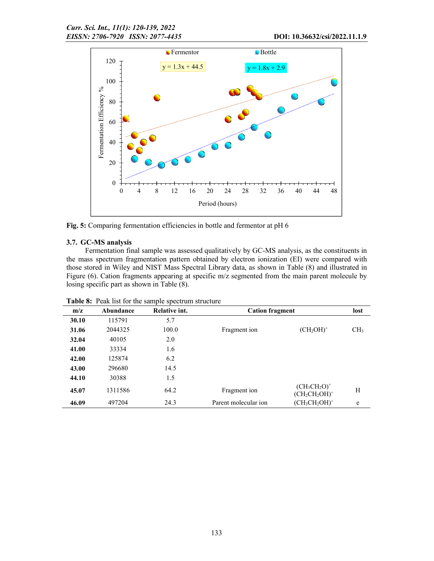

Fig. 5: Comparing fermentation efficiencies in bottle and fermentor at pH 6

## 3.7. GC-MS analysis

Fermentation final sample was assessed qualitatively by GC-MS analysis, as the constituents in the mass spectrum fragmentation pattern obtained by electron ionization (EI) were compared with those stored in Wiley and NIST Mass Spectral Library data, as shown in Table (8) and illustrated in Figure (6). Cation fragments appearing at specific m/z segmented from the main parent molecule by losing specific part as shown in Table (8).

| m/z   | Abundance | Relative int. | <b>Cation fragment</b> |                                     | lost            |  |  |  |  |  |
|-------|-----------|---------------|------------------------|-------------------------------------|-----------------|--|--|--|--|--|
| 30.10 | 115791    | 5.7           |                        |                                     |                 |  |  |  |  |  |
| 31.06 | 2044325   | 100.0         | Fragment ion           | $(CH_2OH)^+$                        | CH <sub>3</sub> |  |  |  |  |  |
| 32.04 | 40105     | 2.0           |                        |                                     |                 |  |  |  |  |  |
| 41.00 | 33334     | 1.6           |                        |                                     |                 |  |  |  |  |  |
| 42.00 | 125874    | 6.2           |                        |                                     |                 |  |  |  |  |  |
| 43.00 | 296680    | 14.5          |                        |                                     |                 |  |  |  |  |  |
| 44.10 | 30388     | 1.5           |                        |                                     |                 |  |  |  |  |  |
| 45.07 | 1311586   | 64.2          | Fragment ion           | $(CH_3CH_2O)^+$<br>$(CH_2CH_2OH)^+$ | Η               |  |  |  |  |  |
| 46.09 | 497204    | 24.3          | Parent molecular ion   | $(CH_3CH_2OH)^+$                    | e               |  |  |  |  |  |

Table 8: Peak list for the sample spectrum structure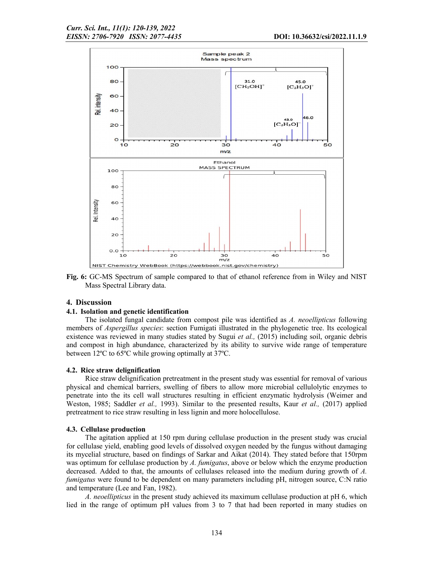

Fig. 6: GC-MS Spectrum of sample compared to that of ethanol reference from in Wiley and NIST Mass Spectral Library data.

### 4. Discussion

### 4.1. Isolation and genetic identification

The isolated fungal candidate from compost pile was identified as *A. neoellipticus* following members of *Aspergillus species*: section Fumigati illustrated in the phylogenetic tree. Its ecological existence was reviewed in many studies stated by Sugui *et al.,* (2015) including soil, organic debris and compost in high abundance, characterized by its ability to survive wide range of temperature between 12ºC to 65ºC while growing optimally at 37ºC.

#### 4.2. Rice straw delignification

Rice straw delignification pretreatment in the present study was essential for removal of various physical and chemical barriers, swelling of fibers to allow more microbial cellulolytic enzymes to penetrate into the its cell wall structures resulting in efficient enzymatic hydrolysis (Weimer and Weston, 1985; Saddler *et al.,* 1993). Similar to the presented results, Kaur *et al.,* (2017) applied pretreatment to rice straw resulting in less lignin and more holocellulose.

### 4.3. Cellulase production

The agitation applied at 150 rpm during cellulase production in the present study was crucial for cellulase yield, enabling good levels of dissolved oxygen needed by the fungus without damaging its mycelial structure, based on findings of Sarkar and Aikat (2014). They stated before that 150rpm was optimum for cellulase production by *A. fumigatus*, above or below which the enzyme production decreased. Added to that, the amounts of cellulases released into the medium during growth of *A. fumigatus* were found to be dependent on many parameters including pH, nitrogen source, C:N ratio and temperature (Lee and Fan, 1982).

*A. neoellipticus* in the present study achieved its maximum cellulase production at pH 6, which lied in the range of optimum pH values from 3 to 7 that had been reported in many studies on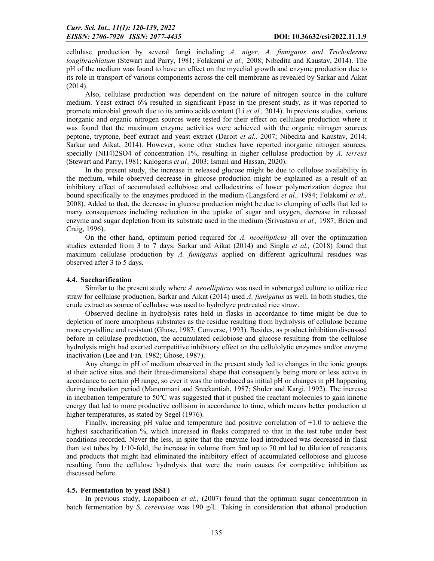cellulase production by several fungi including *A. niger, A. fumigatus and Trichoderma longibrachiatum* (Stewart and Parry, 1981; Folakemi *et al.,* 2008; Nibedita and Kaustav, 2014). The pH of the medium was found to have an effect on the mycelial growth and enzyme production due to its role in transport of various components across the cell membrane as revealed by Sarkar and Aikat (2014).

Also, cellulase production was dependent on the nature of nitrogen source in the culture medium. Yeast extract 6% resulted in significant Fpase in the present study, as it was reported to promote microbial growth due to its amino acids content (Li *et al.,* 2014). In previous studies, various inorganic and organic nitrogen sources were tested for their effect on cellulase production where it was found that the maximum enzyme activities were achieved with the organic nitrogen sources peptone, tryptone, beef extract and yeast extract (Daroit *et al.,* 2007; Nibedita and Kaustav, 2014; Sarkar and Aikat, 2014). However, some other studies have reported inorganic nitrogen sources, specially (NH4)2SO4 of concentration 1%, resulting in higher cellulase production by *A. terreus* (Stewart and Parry, 1981; Kalogeris *et al.,* 2003; Ismail and Hassan, 2020).

In the present study, the increase in released glucose might be due to cellulose availability in the medium, while observed decrease in glucose production might be explained as a result of an inhibitory effect of accumulated cellobiose and cellodextrins of lower polymerization degree that bound specifically to the enzymes produced in the medium (Langsford *et al.,* 1984; Folakemi *et al.,*  2008). Added to that, the decrease in glucose production might be due to clumping of cells that led to many consequences including reduction in the uptake of sugar and oxygen, decrease in released enzyme and sugar depletion from its substrate used in the medium (Srivastava *et al.,* 1987; Brien and Craig, 1996).

On the other hand, optimum period required for *A. neoellipticus* all over the optimization studies extended from 3 to 7 days. Sarkar and Aikat (2014) and Singla *et al.,* (2018) found that maximum cellulase production by *A. fumigatus* applied on different agricultural residues was observed after 3 to 5 days.

## 4.4. Saccharification

Similar to the present study where *A. neoellipticus* was used in submerged culture to utilize rice straw for cellulase production, Sarkar and Aikat (2014) used *A. fumigatus* as well. In both studies, the crude extract as source of cellulase was used to hydrolyze pretreated rice straw.

Observed decline in hydrolysis rates held in flasks in accordance to time might be due to depletion of more amorphous substrates as the residue resulting from hydrolysis of cellulose became more crystalline and resistant (Ghose, 1987; Converse, 1993). Besides, as product inhibition discussed before in cellulase production, the accumulated cellobiose and glucose resulting from the cellulose hydrolysis might had exerted competitive inhibitory effect on the cellulolytic enzymes and/or enzyme inactivation (Lee and Fan*,* 1982; Ghose, 1987).

Any change in pH of medium observed in the present study led to changes in the ionic groups at their active sites and their three-dimensional shape that consequently being more or less active in accordance to certain pH range, so ever it was the introduced as initial pH or changes in pH happening during incubation period (Manonmani and Sreekantiah, 1987; Shuler and Kargi, 1992). The increase in incubation temperature to 50ºC was suggested that it pushed the reactant molecules to gain kinetic energy that led to more productive collision in accordance to time, which means better production at higher temperatures, as stated by Segel (1976).

Finally, increasing pH value and temperature had positive correlation of +1.0 to achieve the highest saccharification %, which increased in flasks compared to that in the test tube under best conditions recorded. Never the less, in spite that the enzyme load introduced was decreased in flask than test tubes by 1/10-fold, the increase in volume from 5ml up to 70 ml led to dilution of reactants and products that might had eliminated the inhibitory effect of accumulated cellobiose and glucose resulting from the cellulose hydrolysis that were the main causes for competitive inhibition as discussed before.

### 4.5. Fermentation by yeast (SSF)

In previous study, Laopaiboon *et al.,* (2007) found that the optimum sugar concentration in batch fermentation by *S. cerevisiae* was 190 g/L. Taking in consideration that ethanol production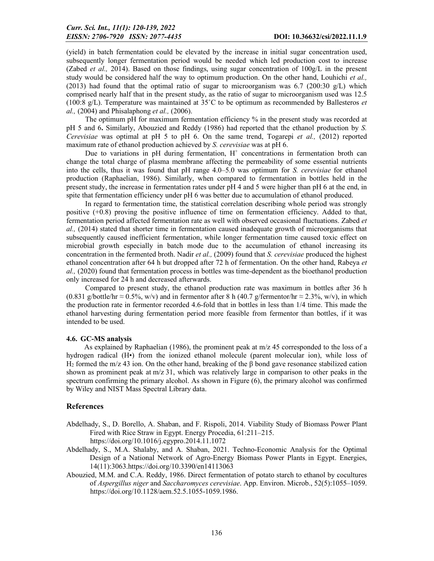(yield) in batch fermentation could be elevated by the increase in initial sugar concentration used, subsequently longer fermentation period would be needed which led production cost to increase (Zabed *et al.,* 2014). Based on those findings, using sugar concentration of 100g/L in the present study would be considered half the way to optimum production. On the other hand, Louhichi *et al.,*  (2013) had found that the optimal ratio of sugar to microorganism was 6.7 (200:30  $g/L$ ) which comprised nearly half that in the present study, as the ratio of sugar to microorganism used was 12.5 (100:8 g/L). Temperature was maintained at 35˚C to be optimum as recommended by Ballesteros *et al.,* (2004) and Phisalaphong *et al.,* (2006).

The optimum pH for maximum fermentation efficiency % in the present study was recorded at pH 5 and 6. Similarly, Abouzied and Reddy (1986) had reported that the ethanol production by *S. Cerevisiae* was optimal at pH 5 to pH 6. On the same trend, Togarepi *et al.,* (2012) reported maximum rate of ethanol production achieved by *S. cerevisiae* was at pH 6.

Due to variations in pH during fermentation,  $H^+$  concentrations in fermentation broth can change the total charge of plasma membrane affecting the permeability of some essential nutrients into the cells, thus it was found that pH range 4.0–5.0 was optimum for *S. cerevisiae* for ethanol production (Raphaelian, 1986). Similarly, when compared to fermentation in bottles held in the present study, the increase in fermentation rates under pH 4 and 5 were higher than pH 6 at the end, in spite that fermentation efficiency under pH 6 was better due to accumulation of ethanol produced.

In regard to fermentation time, the statistical correlation describing whole period was strongly positive  $(+0.8)$  proving the positive influence of time on fermentation efficiency. Added to that, fermentation period affected fermentation rate as well with observed occasional fluctuations. Zabed *et al.,* (2014) stated that shorter time in fermentation caused inadequate growth of microorganisms that subsequently caused inefficient fermentation, while longer fermentation time caused toxic effect on microbial growth especially in batch mode due to the accumulation of ethanol increasing its concentration in the fermented broth. Nadir *et al.,* (2009) found that *S. cerevisiae* produced the highest ethanol concentration after 64 h but dropped after 72 h of fermentation. On the other hand, Rabeya *et al.,* (2020) found that fermentation process in bottles was time-dependent as the bioethanol production only increased for 24 h and decreased afterwards.

Compared to present study, the ethanol production rate was maximum in bottles after 36 h (0.831 g/bottle/hr  $\approx$  0.5%, w/v) and in fermentor after 8 h (40.7 g/fermentor/hr  $\approx$  2.3%, w/v), in which the production rate in fermentor recorded 4.6-fold that in bottles in less than 1/4 time. This made the ethanol harvesting during fermentation period more feasible from fermentor than bottles, if it was intended to be used.

### 4.6. GC-MS analysis

As explained by Raphaelian (1986), the prominent peak at  $m/z$  45 corresponded to the loss of a hydrogen radical (H•) from the ionized ethanol molecule (parent molecular ion), while loss of H<sub>2</sub> formed the m/z 43 ion. On the other hand, breaking of the β bond gave resonance stabilized cation shown as prominent peak at  $m/z$  31, which was relatively large in comparison to other peaks in the spectrum confirming the primary alcohol. As shown in Figure (6), the primary alcohol was confirmed by Wiley and NIST Mass Spectral Library data.

## References

Abdelhady, S., D. Borello, A. Shaban, and F. Rispoli, 2014. Viability Study of Biomass Power Plant Fired with Rice Straw in Egypt. Energy Procedia, 61:211–215.

https://doi.org/10.1016/j.egypro.2014.11.1072

- Abdelhady, S., M.A. Shalaby, and A. Shaban, 2021. Techno-Economic Analysis for the Optimal Design of a National Network of Agro-Energy Biomass Power Plants in Egypt. Energies, 14(11):3063.https://doi.org/10.3390/en14113063
- Abouzied, M.M. and C.A. Reddy, 1986. Direct fermentation of potato starch to ethanol by cocultures of *Aspergillus niger* and *Saccharomyces cerevisiae*. App. Environ. Microb., 52(5):1055–1059. https://doi.org/10.1128/aem.52.5.1055-1059.1986.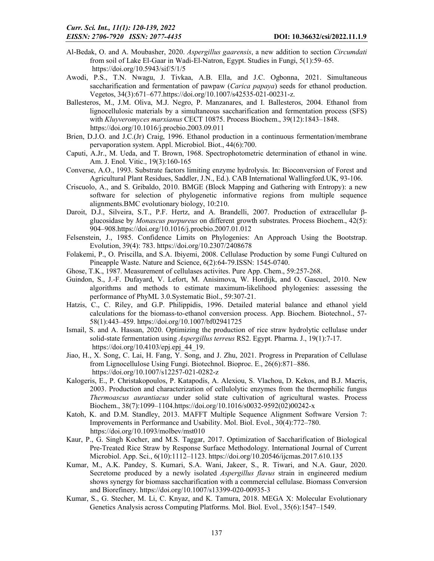- Al-Bedak, O. and A. Moubasher, 2020. *Aspergillus gaarensis*, a new addition to section *Circumdati* from soil of Lake El-Gaar in Wadi-El-Natron, Egypt. Studies in Fungi, 5(1):59–65. https://doi.org/10.5943/sif/5/1/5
- Awodi, P.S., T.N. Nwagu, J. Tivkaa, A.B. Ella, and J.C. Ogbonna, 2021. Simultaneous saccharification and fermentation of pawpaw (*Carica papaya*) seeds for ethanol production. Vegetos, 34(3):671–677.https://doi.org/10.1007/s42535-021-00231-z.
- Ballesteros, M., J.M. Oliva, M.J. Negro, P. Manzanares, and I. Ballesteros, 2004. Ethanol from lignocellulosic materials by a simultaneous saccharification and fermentation process (SFS) with *Kluyveromyces marxianus* CECT 10875. Process Biochem., 39(12):1843–1848. https://doi.org/10.1016/j.procbio.2003.09.011
- Brien, D.J.O. and J.C.(Jr) Craig, 1996. Ethanol production in a continuous fermentation/membrane pervaporation system. Appl. Microbiol. Biot., 44(6):700.
- Caputi, A.Jr., M. Ueda, and T. Brown, 1968. Spectrophotometric determination of ethanol in wine. Am. J. Enol. Vitic., 19(3):160-165
- Converse, A.O., 1993. Substrate factors limiting enzyme hydrolysis. In: Bioconversion of Forest and Agricultural Plant Residues, Saddler, J.N., Ed.). CAB International Wallingford.UK, 93-106.
- Criscuolo, A., and S. Gribaldo, 2010. BMGE (Block Mapping and Gathering with Entropy): a new software for selection of phylogenetic informative regions from multiple sequence alignments.BMC evolutionary biology, 10:210.
- Daroit, D.J., Silveira, S.T., P.F. Hertz, and A. Brandelli, 2007. Production of extracellular βglucosidase by *Monascus purpureus* on different growth substrates. Process Biochem., 42(5): 904–908.https://doi.org/10.1016/j.procbio.2007.01.012
- Felsenstein, J., 1985. Confidence Limits on Phylogenies: An Approach Using the Bootstrap. Evolution, 39(4): 783. https://doi.org/10.2307/2408678
- Folakemi, P., O. Priscilla, and S.A. Ibiyemi, 2008. Cellulase Production by some Fungi Cultured on Pineapple Waste. Nature and Science, 6(2):64-79.ISSN: 1545-0740.
- Ghose, T.K., 1987. Measurement of cellulases activites. Pure App. Chem., 59:257-268.
- Guindon, S., J.-F. Dufayard, V. Lefort, M. Anisimova, W. Hordijk, and O. Gascuel, 2010. New algorithms and methods to estimate maximum-likelihood phylogenies: assessing the performance of PhyML 3.0.Systematic Biol., 59:307-21.
- Hatzis, C., C. Riley, and G.P. Philippidis, 1996. Detailed material balance and ethanol yield calculations for the biomass-to-ethanol conversion process. App. Biochem. Biotechnol., 57- 58(1):443–459. https://doi.org/10.1007/bf02941725
- Ismail, S. and A. Hassan, 2020. Optimizing the production of rice straw hydrolytic cellulase under solid-state fermentation using *Aspergillus terreus* RS2. Egypt. Pharma. J., 19(1):7-17. https://doi.org/10.4103/epj.epj 44 19.
- Jiao, H., X. Song, C. Lai, H. Fang, Y. Song, and J. Zhu, 2021. Progress in Preparation of Cellulase from Lignocellulose Using Fungi. Biotechnol. Bioproc. E., 26(6):871–886. https://doi.org/10.1007/s12257-021-0282-z
- Kalogeris, E., P. Christakopoulos, P. Katapodis, A. Alexiou, S. Vlachou, D. Kekos, and B.J. Macris, 2003. Production and characterization of cellulolytic enzymes from the thermophilic fungus *Thermoascus aurantiacus* under solid state cultivation of agricultural wastes. Process Biochem., 38(7):1099–1104.https://doi.org/10.1016/s0032-9592(02)00242-x
- Katoh, K. and D.M. Standley, 2013. MAFFT Multiple Sequence Alignment Software Version 7: Improvements in Performance and Usability. Mol. Biol. Evol., 30(4):772–780. https://doi.org/10.1093/molbev/mst010
- Kaur, P., G. Singh Kocher, and M.S. Taggar, 2017. Optimization of Saccharification of Biological Pre-Treated Rice Straw by Response Surface Methodology. International Journal of Current Microbiol. App. Sci., 6(10):1112–1123. https://doi.org/10.20546/ijcmas.2017.610.135
- Kumar, M., A.K. Pandey, S. Kumari, S.A. Wani, Jakeer, S., R. Tiwari, and N.A. Gaur, 2020. Secretome produced by a newly isolated *Aspergillus flavus* strain in engineered medium shows synergy for biomass saccharification with a commercial cellulase. Biomass Conversion and Biorefinery. https://doi.org/10.1007/s13399-020-00935-3
- Kumar, S., G. Stecher, M. Li, C. Knyaz, and K. Tamura, 2018. MEGA X: Molecular Evolutionary Genetics Analysis across Computing Platforms. Mol. Biol. Evol., 35(6):1547–1549.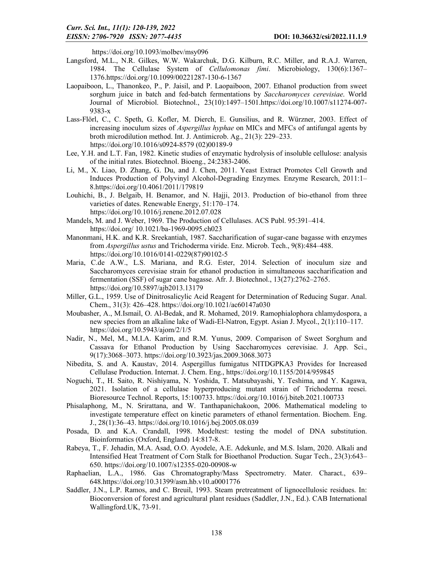https://doi.org/10.1093/molbev/msy096

- Langsford, M.L., N.R. Gilkes, W.W. Wakarchuk, D.G. Kilburn, R.C. Miller, and R.A.J. Warren, 1984. The Cellulase System of *Cellulomonas fimi*. Microbiology, 130(6):1367– 1376.https://doi.org/10.1099/00221287-130-6-1367
- Laopaiboon, L., Thanonkeo, P., P. Jaisil, and P. Laopaiboon, 2007. Ethanol production from sweet sorghum juice in batch and fed-batch fermentations by *Saccharomyces cerevisiae*. World Journal of Microbiol. Biotechnol., 23(10):1497–1501.https://doi.org/10.1007/s11274-007- 9383-x
- Lass-Flörl, C., C. Speth, G. Kofler, M. Dierch, E. Gunsilius, and R. Würzner, 2003. Effect of increasing inoculum sizes of *Aspergillus hyphae* on MICs and MFCs of antifungal agents by broth microdilution method. Int. J. Antimicrob. Ag., 21(3): 229–233. https://doi.org/10.1016/s0924-8579 (02)00189-9
- Lee, Y.H. and L.T. Fan, 1982. Kinetic studies of enzymatic hydrolysis of insoluble cellulose: analysis of the initial rates. Biotechnol. Bioeng., 24:2383-2406.
- Li, M., X. Liao, D. Zhang, G. Du, and J. Chen, 2011. Yeast Extract Promotes Cell Growth and Induces Production of Polyvinyl Alcohol-Degrading Enzymes. Enzyme Research, 2011:1– 8.https://doi.org/10.4061/2011/179819
- Louhichi, B., J. Belgaib, H. Benamor, and N. Hajji, 2013. Production of bio-ethanol from three varieties of dates. Renewable Energy, 51:170–174. https://doi.org/10.1016/j.renene.2012.07.028
- Mandels, M. and J. Weber, 1969. The Production of Cellulases. ACS Publ. 95:391–414. https://doi.org/ 10.1021/ba-1969-0095.ch023
- Manonmani, H.K. and K.R. Sreekantiah, 1987. Saccharification of sugar-cane bagasse with enzymes from *Aspergillus ustus* and Trichoderma viride. Enz. Microb. Tech., 9(8):484–488. https://doi.org/10.1016/0141-0229(87)90102-5
- Maria, C.de A.W., L.S. Mariana, and R.G. Ester, 2014. Selection of inoculum size and Saccharomyces cerevisiae strain for ethanol production in simultaneous saccharification and fermentation (SSF) of sugar cane bagasse. Afr. J. Biotechnol., 13(27):2762–2765. https://doi.org/10.5897/ajb2013.13179
- Miller, G.L., 1959. Use of Dinitrosalicylic Acid Reagent for Determination of Reducing Sugar. Anal. Chem., 31(3): 426–428. https://doi.org/10.1021/ac60147a030
- Moubasher, A., M.Ismail, O. Al-Bedak, and R. Mohamed, 2019. Ramophialophora chlamydospora, a new species from an alkaline lake of Wadi-El-Natron, Egypt. Asian J. Mycol., 2(1):110–117. https://doi.org/10.5943/ajom/2/1/5
- Nadir, N., Mel, M., M.I.A. Karim, and R.M. Yunus, 2009. Comparison of Sweet Sorghum and Cassava for Ethanol Production by Using Saccharomyces cerevisiae. J. App. Sci., 9(17):3068–3073. https://doi.org/10.3923/jas.2009.3068.3073
- Nibedita, S. and A. Kaustav, 2014. Aspergillus fumigatus NITDGPKA3 Provides for Increased Cellulase Production. Internat. J. Chem. Eng., https://doi.org/10.1155/2014/959845
- Noguchi, T., H. Saito, R. Nishiyama, N. Yoshida, T. Matsubayashi, Y. Teshima, and Y. Kagawa, 2021. Isolation of a cellulase hyperproducing mutant strain of Trichoderma reesei. Bioresource Technol. Reports, 15:100733. https://doi.org/10.1016/j.biteb.2021.100733
- Phisalaphong, M., N. Srirattana, and W. Tanthapanichakoon, 2006. Mathematical modeling to investigate temperature effect on kinetic parameters of ethanol fermentation. Biochem. Eng. J., 28(1):36–43. https://doi.org/10.1016/j.bej.2005.08.039
- Posada, D. and K.A. Crandall, 1998. Modeltest: testing the model of DNA substitution. Bioinformatics (Oxford, England) 14:817-8.
- Rabeya, T., F. Jehadin, M.A. Asad, O.O. Ayodele, A.E. Adekunle, and M.S. Islam, 2020. Alkali and Intensified Heat Treatment of Corn Stalk for Bioethanol Production. Sugar Tech., 23(3):643– 650. https://doi.org/10.1007/s12355-020-00908-w
- Raphaelian, L.A., 1986. Gas Chromatography/Mass Spectrometry. Mater. Charact., 639– 648.https://doi.org/10.31399/asm.hb.v10.a0001776
- Saddler, J.N., L.P. Ramos, and C. Breuil, 1993. Steam pretreatment of lignocellulosic residues. In: Bioconversion of forest and agricultural plant residues (Saddler, J.N., Ed.). CAB International Wallingford.UK, 73-91.